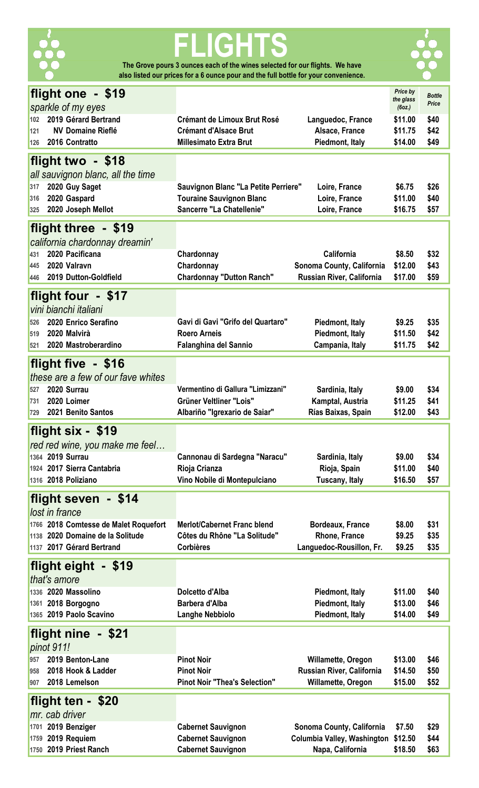

# **FLIGHTS The Grove pours 3 ounces each of the wines selected for our flights. We have**

**also listed our prices for a 6 ounce pour and the full bottle for your convenience.** 



| flight one - \$19                     |                                      |                             | Price by            | <b>Bottle</b> |
|---------------------------------------|--------------------------------------|-----------------------------|---------------------|---------------|
| sparkle of my eyes                    |                                      |                             | the glass<br>(6oz.) | Price         |
| 2019 Gérard Bertrand<br>102           | <b>Crémant de Limoux Brut Rosé</b>   |                             | \$11.00             | \$40          |
| <b>NV Domaine Rieflé</b>              |                                      | Languedoc, France           |                     |               |
| 121                                   | <b>Crémant d'Alsace Brut</b>         | Alsace, France              | \$11.75             | \$42          |
| 2016 Contratto<br>126                 | <b>Millesimato Extra Brut</b>        | Piedmont, Italy             | \$14.00             | \$49          |
| flight two - \$18                     |                                      |                             |                     |               |
|                                       |                                      |                             |                     |               |
| all sauvignon blanc, all the time     |                                      |                             |                     |               |
| 2020 Guy Saget<br>317                 | Sauvignon Blanc "La Petite Perriere" | Loire, France               | \$6.75              | \$26          |
| 2020 Gaspard<br>316                   | <b>Touraine Sauvignon Blanc</b>      | Loire, France               | \$11.00             | \$40          |
| 2020 Joseph Mellot<br>325             | Sancerre "La Chatellenie"            | Loire, France               | \$16.75             | \$57          |
|                                       |                                      |                             |                     |               |
| flight three - \$19                   |                                      |                             |                     |               |
| california chardonnay dreamin'        |                                      |                             |                     |               |
| 2020 Pacificana<br>431                | Chardonnay                           | California                  | \$8.50              | \$32          |
| 2020 Valravn<br>445                   | Chardonnay                           | Sonoma County, California   | \$12.00             | \$43          |
| 2019 Dutton-Goldfield<br>446          | <b>Chardonnay "Dutton Ranch"</b>     | Russian River, California   | \$17.00             | \$59          |
|                                       |                                      |                             |                     |               |
| flight four - \$17                    |                                      |                             |                     |               |
| vini bianchi italiani                 |                                      |                             |                     |               |
| 2020 Enrico Serafino<br>526           | Gavi di Gavi "Grifo del Quartaro"    | Piedmont, Italy             | \$9.25              | \$35          |
| 2020 Malvirà<br>519                   | <b>Roero Arneis</b>                  | Piedmont, Italy             | \$11.50             | \$42          |
| 2020 Mastroberardino<br>521           | Falanghina del Sannio                | Campania, Italy             | \$11.75             | \$42          |
|                                       |                                      |                             |                     |               |
| flight five - \$16                    |                                      |                             |                     |               |
| these are a few of our fave whites    |                                      |                             |                     |               |
| 2020 Surrau<br>527                    | Vermentino di Gallura "Limizzani"    | Sardinia, Italy             | \$9.00              | \$34          |
| 2020 Loimer<br>731                    | Grüner Veltliner "Lois"              | Kamptal, Austria            | \$11.25             | \$41          |
| 2021 Benito Santos<br>729             | Albariño "Igrexario de Saiar"        | Rías Baixas, Spain          | \$12.00             | \$43          |
|                                       |                                      |                             |                     |               |
| flight six - \$19                     |                                      |                             |                     |               |
|                                       |                                      |                             |                     |               |
|                                       |                                      |                             |                     |               |
| red red wine, you make me feel        |                                      |                             |                     |               |
| 1364 2019 Surrau                      | Cannonau di Sardegna "Naracu"        | Sardinia, Italy             | \$9.00              | \$34          |
| 1924 2017 Sierra Cantabria            | Rioja Crianza                        | Rioja, Spain                | \$11.00             | \$40          |
| 1316 2018 Poliziano                   | Vino Nobile di Montepulciano         | Tuscany, Italy              | \$16.50             | \$57          |
|                                       |                                      |                             |                     |               |
| flight seven - \$14                   |                                      |                             |                     |               |
| lost in france                        |                                      |                             |                     |               |
| 1766 2018 Comtesse de Malet Roquefort | <b>Merlot/Cabernet Franc blend</b>   | <b>Bordeaux, France</b>     | \$8.00              | \$31          |
| 1138 2020 Domaine de la Solitude      | Côtes du Rhône "La Solitude"         | Rhone, France               | \$9.25              | \$35          |
| 1137 2017 Gérard Bertrand             | <b>Corbières</b>                     | Languedoc-Rousillon, Fr.    | \$9.25              | \$35          |
|                                       |                                      |                             |                     |               |
| flight eight - \$19                   |                                      |                             |                     |               |
| that's amore                          |                                      |                             |                     |               |
| 1336 2020 Massolino                   | Dolcetto d'Alba                      | Piedmont, Italy             | \$11.00             | \$40          |
| 1361 2018 Borgogno                    | <b>Barbera d'Alba</b>                | Piedmont, Italy             | \$13.00             | \$46          |
| 1365 2019 Paolo Scavino               | <b>Langhe Nebbiolo</b>               | Piedmont, Italy             | \$14.00             | \$49          |
|                                       |                                      |                             |                     |               |
| flight nine - \$21                    |                                      |                             |                     |               |
| pinot 911!                            |                                      |                             |                     |               |
| 2019 Benton-Lane<br>957               | <b>Pinot Noir</b>                    | Willamette, Oregon          | \$13.00             | \$46          |
| 2018 Hook & Ladder<br>958             | <b>Pinot Noir</b>                    | Russian River, California   | \$14.50             | \$50          |
| 2018 Lemelson<br>907                  | <b>Pinot Noir "Thea's Selection"</b> | Willamette, Oregon          | \$15.00             | \$52          |
|                                       |                                      |                             |                     |               |
| flight ten - \$20                     |                                      |                             |                     |               |
| mr. cab driver                        |                                      |                             |                     |               |
| 1701 2019 Benziger                    | <b>Cabernet Sauvignon</b>            | Sonoma County, California   | \$7.50              | \$29          |
| 1759 2019 Requiem                     | <b>Cabernet Sauvignon</b>            | Columbia Valley, Washington | \$12.50             | \$44          |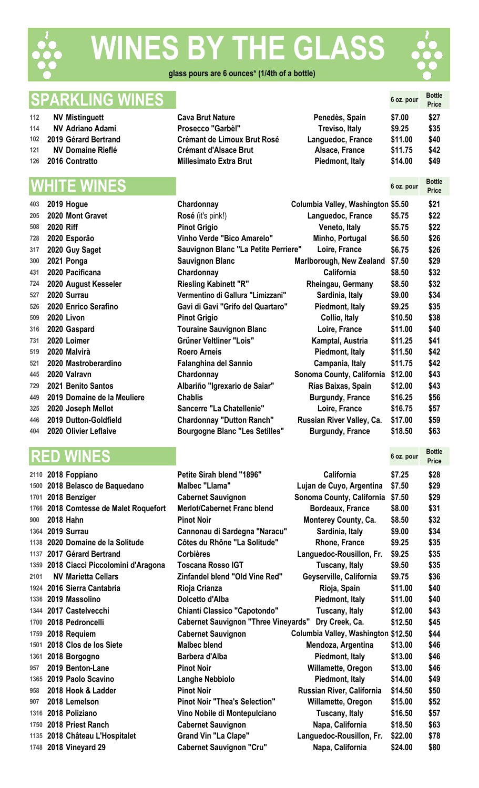

# **WES BY THE GLASS**



**Price**

### **glass pours are 6 ounces\* (1/4th of a bottle)**

# **SPARKLING WINES Example 20 ON SOLUTION Bottle Bottle Bottle Bottle Bottle**

- **NV** Mistinguett **Ca**
- 
- 
- 
- 

| 403 | 2019 Hogue                  | Chardonnay                        |
|-----|-----------------------------|-----------------------------------|
| 205 | 2020 Mont Gravet            | Rosé (it's pink!)                 |
| 508 | <b>2020 Riff</b>            | <b>Pinot Grigio</b>               |
| 728 | 2020 Esporão                | <b>Vinho Verde "Bico Amarelo</b>  |
| 317 | 2020 Guy Saget              | <b>Sauvignon Blanc "La Petite</b> |
| 300 | 2021 Ponga                  | <b>Sauvignon Blanc</b>            |
| 431 | 2020 Pacificana             | Chardonnay                        |
| 724 | 2020 August Kesseler        | <b>Riesling Kabinett "R"</b>      |
| 527 | 2020 Surrau                 | Vermentino di Gallura "Limiz      |
| 526 | 2020 Enrico Serafino        | Gavi di Gavi "Grifo del Qua       |
| 509 | 2020 Livon                  | <b>Pinot Grigio</b>               |
| 316 | 2020 Gaspard                | <b>Touraine Sauvignon Blanc</b>   |
| 731 | 2020 Loimer                 | <b>Grüner Veltliner "Lois"</b>    |
| 519 | 2020 Malvirà                | Roero Arneis                      |
| 521 | 2020 Mastroberardino        | <b>Falanghina del Sannio</b>      |
| 445 | 2020 Valravn                | Chardonnay                        |
| 729 | 2021 Benito Santos          | Albariño "Igrexario de Saia       |
| 449 | 2019 Domaine de la Meuliere | <b>Chablis</b>                    |
| 325 | 2020 Joseph Mellot          | Sancerre "La Chatellenie"         |
| 446 | 2019 Dutton-Goldfield       | <b>Chardonnay "Dutton Ranch</b>   |

# **RED WINES 6 oz. pour Bottle**

|      |               | 2110 2018 Foppiano                     |
|------|---------------|----------------------------------------|
|      |               | 1500 2018 Belasco de Baquedano         |
|      |               | 1701 2018 Benziger                     |
|      |               | 1766 2018 Comtesse de Malet Roquefort  |
|      | 900 2018 Hahn |                                        |
|      |               | 1364 2019 Surrau                       |
|      |               | 1138 2020 Domaine de la Solitude       |
|      |               | 1137 2017 Gérard Bertrand              |
|      |               | 1359 2018 Ciacci Piccolomini d'Aragona |
| 2101 |               | <b>NV Marietta Cellars</b>             |
|      |               | 1924 2016 Sierra Cantabria             |
|      |               | 1336 2019 Massolino                    |
|      |               | 1344 2017 Castelvecchi                 |
|      |               | 1700 2018 Pedroncelli                  |
|      |               | 1759 2018 Requiem                      |
|      |               | 1501 2018 Clos de los Siete            |
|      |               | 1361 2018 Borgogno                     |
|      |               | 957 2019 Benton-Lane                   |
|      |               | 1365 2019 Paolo Scavino                |
|      |               | 958 2018 Hook & Ladder                 |
|      |               | 907 2018 Lemelson                      |
|      |               | 1316 2018 Poliziano                    |
|      |               | 1750 2018 Priest Ranch                 |
|      |               | 1135 2018 Château L'Hospitalet         |
|      |               | 1748 2018 Vineyard 29                  |

|     | <b>SPARNLING WINES</b>   |                               |                   | 6 oz. pour | Price |
|-----|--------------------------|-------------------------------|-------------------|------------|-------|
| 112 | <b>NV Mistinguett</b>    | <b>Cava Brut Nature</b>       | Penedès, Spain    | \$7.00     | \$27  |
| 114 | <b>NV Adriano Adami</b>  | Prosecco "Garbèl"             | Treviso, Italy    | \$9.25     | \$35  |
|     | 102 2019 Gérard Bertrand | Crémant de Limoux Brut Rosé   | Languedoc, France | \$11.00    | \$40  |
| 121 | <b>NV Domaine Rieflé</b> | <b>Crémant d'Alsace Brut</b>  | Alsace, France    | \$11.75    | \$42  |
|     | 126 2016 Contratto       | <b>Millesimato Extra Brut</b> | Piedmont, Italy   | \$14.00    | \$49  |

|     |           | <b>WHITE WINES</b>          |                                       |                                    | 6 oz. pour | <b>Bottle</b><br><b>Price</b> |
|-----|-----------|-----------------------------|---------------------------------------|------------------------------------|------------|-------------------------------|
| 403 |           | 2019 Hogue                  | Chardonnay                            | Columbia Valley, Washington \$5.50 |            | \$21                          |
| 205 |           | 2020 Mont Gravet            | Rosé (it's pink!)                     | Languedoc, France                  | \$5.75     | \$22                          |
| 508 | 2020 Riff |                             | <b>Pinot Grigio</b>                   | Veneto, Italy                      | \$5.75     | \$22                          |
| 728 |           | 2020 Esporão                | Vinho Verde "Bico Amarelo"            | Minho, Portugal                    | \$6.50     | \$26                          |
| 317 |           | 2020 Guy Saget              | Sauvignon Blanc "La Petite Perriere"  | Loire, France                      | \$6.75     | \$26                          |
| 300 |           | 2021 Ponga                  | <b>Sauvignon Blanc</b>                | Marlborough, New Zealand           | \$7.50     | \$29                          |
| 431 |           | 2020 Pacificana             | Chardonnay                            | <b>California</b>                  | \$8.50     | \$32                          |
| 724 |           | 2020 August Kesseler        | <b>Riesling Kabinett "R"</b>          | Rheingau, Germany                  | \$8.50     | \$32                          |
| 527 |           | 2020 Surrau                 | Vermentino di Gallura "Limizzani"     | Sardinia, Italy                    | \$9.00     | \$34                          |
| 526 |           | 2020 Enrico Serafino        | Gavi di Gavi "Grifo del Quartaro"     | Piedmont, Italy                    | \$9.25     | \$35                          |
| 509 |           | 2020 Livon                  | <b>Pinot Grigio</b>                   | Collio, Italy                      | \$10.50    | \$38                          |
| 316 |           | 2020 Gaspard                | <b>Touraine Sauvignon Blanc</b>       | Loire, France                      | \$11.00    | \$40                          |
| 731 |           | 2020 Loimer                 | Grüner Veltliner "Lois"               | Kamptal, Austria                   | \$11.25    | \$41                          |
| 519 |           | 2020 Malvirà                | <b>Roero Arneis</b>                   | Piedmont, Italy                    | \$11.50    | \$42                          |
| 521 |           | 2020 Mastroberardino        | <b>Falanghina del Sannio</b>          | Campania, Italy                    | \$11.75    | \$42                          |
| 445 |           | 2020 Valravn                | Chardonnay                            | Sonoma County, California          | \$12.00    | \$43                          |
| 729 |           | 2021 Benito Santos          | Albariño "Igrexario de Saiar"         | Rías Baixas, Spain                 | \$12.00    | \$43                          |
| 449 |           | 2019 Domaine de la Meuliere | <b>Chablis</b>                        | <b>Burgundy, France</b>            | \$16.25    | \$56                          |
| 325 |           | 2020 Joseph Mellot          | Sancerre "La Chatellenie"             | Loire, France                      | \$16.75    | \$57                          |
| 446 |           | 2019 Dutton-Goldfield       | <b>Chardonnay "Dutton Ranch"</b>      | Russian River Valley, Ca.          | \$17.00    | \$59                          |
|     |           | 404 2020 Olivier Leflaive   | <b>Bourgogne Blanc "Les Setilles"</b> | <b>Burgundy, France</b>            | \$18.50    | \$63                          |

|      | 2110 2018 Foppiano                     | <b>Petite Sirah blend "1896"</b>                    | California                          | \$7.25  | \$28 |
|------|----------------------------------------|-----------------------------------------------------|-------------------------------------|---------|------|
|      | 1500 2018 Belasco de Baquedano         | <b>Malbec "Llama"</b>                               | Lujan de Cuyo, Argentina            | \$7.50  | \$29 |
|      | 1701 2018 Benziger                     | <b>Cabernet Sauvignon</b>                           | Sonoma County, California           | \$7.50  | \$29 |
|      | 1766 2018 Comtesse de Malet Roquefort  | <b>Merlot/Cabernet Franc blend</b>                  | Bordeaux, France                    | \$8.00  | \$31 |
| 900  | <b>2018 Hahn</b>                       | <b>Pinot Noir</b>                                   | Monterey County, Ca.                | \$8.50  | \$32 |
|      | 1364 2019 Surrau                       | Cannonau di Sardegna "Naracu"                       | Sardinia, Italy                     | \$9.00  | \$34 |
|      | 1138 2020 Domaine de la Solitude       | Côtes du Rhône "La Solitude"                        | Rhone, France                       | \$9.25  | \$35 |
|      | 1137 2017 Gérard Bertrand              | <b>Corbières</b>                                    | Languedoc-Rousillon, Fr.            | \$9.25  | \$35 |
|      | 1359 2018 Ciacci Piccolomini d'Aragona | <b>Toscana Rosso IGT</b>                            | Tuscany, Italy                      | \$9.50  | \$35 |
| 2101 | <b>NV Marietta Cellars</b>             | Zinfandel blend "Old Vine Red"                      | Geyserville, California             | \$9.75  | \$36 |
|      | 1924 2016 Sierra Cantabria             | Rioja Crianza                                       | Rioja, Spain                        | \$11.00 | \$40 |
|      | 1336 2019 Massolino                    | Dolcetto d'Alba                                     | Piedmont, Italy                     | \$11.00 | \$40 |
|      | 1344 2017 Castelvecchi                 | <b>Chianti Classico "Capotondo"</b>                 | Tuscany, Italy                      | \$12.00 | \$43 |
|      | 1700 2018 Pedroncelli                  | Cabernet Sauvignon "Three Vineyards" Dry Creek, Ca. |                                     | \$12.50 | \$45 |
|      | 1759 2018 Requiem                      | <b>Cabernet Sauvignon</b>                           | Columbia Valley, Washington \$12.50 |         | \$44 |
|      | 1501 2018 Clos de los Siete            | <b>Malbec blend</b>                                 | Mendoza, Argentina                  | \$13.00 | \$46 |
|      | 1361 2018 Borgogno                     | Barbera d'Alba                                      | Piedmont, Italy                     | \$13.00 | \$46 |
| 957  | 2019 Benton-Lane                       | <b>Pinot Noir</b>                                   | Willamette, Oregon                  | \$13.00 | \$46 |
|      | 1365 2019 Paolo Scavino                | <b>Langhe Nebbiolo</b>                              | Piedmont, Italy                     | \$14.00 | \$49 |
| 958  | 2018 Hook & Ladder                     | <b>Pinot Noir</b>                                   | Russian River, California           | \$14.50 | \$50 |
| 907  | 2018 Lemelson                          | <b>Pinot Noir "Thea's Selection"</b>                | Willamette, Oregon                  | \$15.00 | \$52 |
|      | 1316 2018 Poliziano                    | Vino Nobile di Montepulciano                        | Tuscany, Italy                      | \$16.50 | \$57 |
|      | 1750 2018 Priest Ranch                 | <b>Cabernet Sauvignon</b>                           | Napa, California                    | \$18.50 | \$63 |
|      | 1135 2018 Château L'Hospitalet         | <b>Grand Vin "La Clape"</b>                         | Languedoc-Rousillon, Fr.            | \$22.00 | \$78 |
|      | 1748 2018 Vineyard 29                  | <b>Cabernet Sauvignon "Cru"</b>                     | Napa, California                    | \$24.00 | \$80 |
|      |                                        |                                                     |                                     |         |      |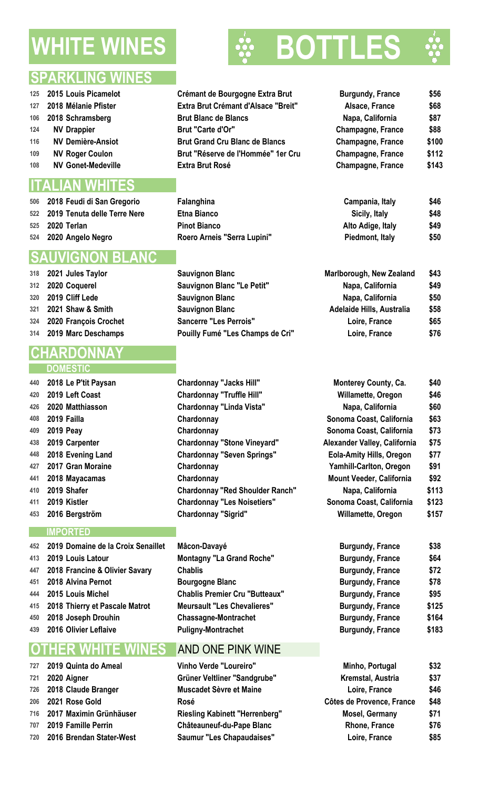# **WHITE WINES** 80

### **SPARKLING WINES**

- **2018 Schramsberg Brut Blanc de Blancs NV Drappier Brut "Carte d'Or"**
- **NV Gonet-Medeville Extra Brut Rosé**

### **ITALIAN WHITES**

| 506 2018 Feudi di San Gregorio   | Falanghina                  | Campania, Italy   | \$46 |
|----------------------------------|-----------------------------|-------------------|------|
| 522 2019 Tenuta delle Terre Nere | Etna Bianco                 | Sicily, Italy     | \$48 |
| 525 <b>2020 Terlan</b>           | <b>Pinot Bianco</b>         | Alto Adige, Italy | \$49 |
| 524 2020 Angelo Negro            | Roero Arneis "Serra Lupini" | Piedmont, Italy   | \$50 |

### **SAUVIGNON BLANC**

| 318 | 2021 Jules Taylor     |
|-----|-----------------------|
| 312 | 2020 Coquerel         |
| 320 | 2019 Cliff Lede       |
| 321 | 2021 Shaw & Smith     |
| 324 | 2020 François Crochet |
| 314 | 2019 Marc Deschamps   |
|     |                       |

# **CHARDONNAY**

- **DOMEST**
- **2018 Le P'tit Paysan Chardonnay "Jacks Hill" Monterey County, Ca. \$40 2019** Left Coast **Chardonnay "Truffle Hill" 2020 Matthiasson Chardonnay "Linda Vista" Napa, California \$60 2017 Gran Moraine Chardonnay Yamhill-Carlton, Oregon \$91 2018 Mayacamas Chardonnay**

#### **IMPORTED**

 **2019 Domaine de la Croix Senaillet Mâcon-Davayé Burgundy, France \$38 2019 Louis Latour Montagny "La Grand Roche" Burgundy, France \$64 2018 Francine & Olivier Savary Chablis Burgundy, France \$72 2018 Alvina Pernot Bourgogne Blanc Burgundy, France \$78 2015 Louis Michel Chablis Premier Cru "Butteaux" Burgundy, France \$95 2018 Thierry et Pascale Matrot Meursault "Les Chevalieres" Burgundy, France \$125 2018 Joseph Drouhin Chassagne-Montrachet Burgundy, France \$164 2016 Olivier Leflaive Puligny-Montrachet Burgundy, France \$183**

### **OTHER WHITE WINES** AND ONE PINK WINE

 **2019 Quinta do Ameal Vinho Verde "Loureiro" Minho, Portugal \$32 2020 Aigner Grüner Veltliner "Sandgrube" Kremstal, Austria \$37 2018 Claude Branger Muscadet Sèvre et Maine Loire, France \$46 2021 Rose Gold Rosé Côtes de Provence, France \$48 2017 Maximin Grünhäuser Riesling Kabinett "Herrenberg" Mosel, Germany \$71 2019 Famille Perrin Châteauneuf-du-Pape Blanc Rhone, France \$76 2016 Brendan Stater-West Saumur "Les Chapaudaises" Loire, France \$85**

 **2015** Louis Picamelot **Crémant de Bourgogne Extra Brut 2018** Mélanie Pfister **127 Extra Brut Crémant d'Alsace "Breit" NV Demière-Ansiot Brut Grand Cru Blanc de Blancs Champagne, France \$100** 109 NV Roger Coulon **Brut "Réserve de l'Hommée" 1er Cru** 

 **2021 July 2021 March 2021 March 2021 March 2021 March 2021 March 2021 Sauvignon Blanc "Le Petit" Sauvignon Blanc Sauvignon Blanc Sancerre "Les Perrois"** Pouilly Fumé "Les Champs de Cri"

 **2019 Failla Chardonnay Sonoma Coast, California \$63 2019 Peay Chardonnay Sonoma Coast, California \$73 2019 Carpenter Chardonnay "Stone Vineyard" Alexander Valley, California \$75 2018** Evening Land **Chardonnay "Seven Springs" 2019 Shafer Chardonnay "Red Shoulder Ranch" Napa, California \$113 2019 Kistler Chardonnay "Les Noisetiers" Sonoma Coast, California \$123 2016 Bergström Chardonnay "Sigrid" Willamette, Oregon \$157**





| <b>Burgundy, France</b> | \$56  |
|-------------------------|-------|
| Alsace, France          | \$68  |
| Napa, California        | \$87  |
| Champagne, France       | \$88  |
| Champagne, France       | \$100 |
| Champagne, France       | \$112 |
| Champagne, France       | \$143 |
|                         |       |

| Campania, Italy   | \$46 |
|-------------------|------|
| Sicily, Italy     | \$48 |
| Alto Adige, Italy | \$49 |
| Piedmont, Italy   | \$50 |

| Marlborough, New Zealand         | \$43 |
|----------------------------------|------|
| Napa, California                 | \$49 |
| Napa, California                 | \$50 |
| <b>Adelaide Hills, Australia</b> | \$58 |
| Loire, France                    | \$65 |
| Loire, France                    | \$76 |

| Monterey County, Ca.            | \$40  |
|---------------------------------|-------|
| Willamette, Oregon              | \$46  |
| Napa, California                | \$60  |
| Sonoma Coast, California        | \$63  |
| Sonoma Coast, California        | \$73  |
| Alexander Valley, California    | \$75  |
| <b>Eola-Amity Hills, Oregon</b> | \$77  |
| Yamhill-Carlton, Oregon         | \$91  |
| <b>Mount Veeder, California</b> | \$92  |
| Napa, California                | \$113 |
| Sonoma Coast, California        | \$123 |
| Willamette, Oregon              | \$157 |

| <b>Burgundy, France</b> | \$38  |
|-------------------------|-------|
| <b>Burgundy, France</b> | \$64  |
| <b>Burgundy, France</b> | \$72  |
| <b>Burgundy, France</b> | \$78  |
| <b>Burgundy, France</b> | \$95  |
| <b>Burgundy, France</b> | \$125 |
| <b>Burgundy, France</b> | \$164 |
| <b>Burgundy, France</b> | \$183 |

| Minho, Portugal           | \$32 |
|---------------------------|------|
| Kremstal, Austria         | \$37 |
| Loire, France             | \$46 |
| Côtes de Provence, France | \$48 |
| <b>Mosel, Germany</b>     | \$71 |
| <b>Rhone, France</b>      | \$76 |
| Loire, France             | \$85 |
|                           |      |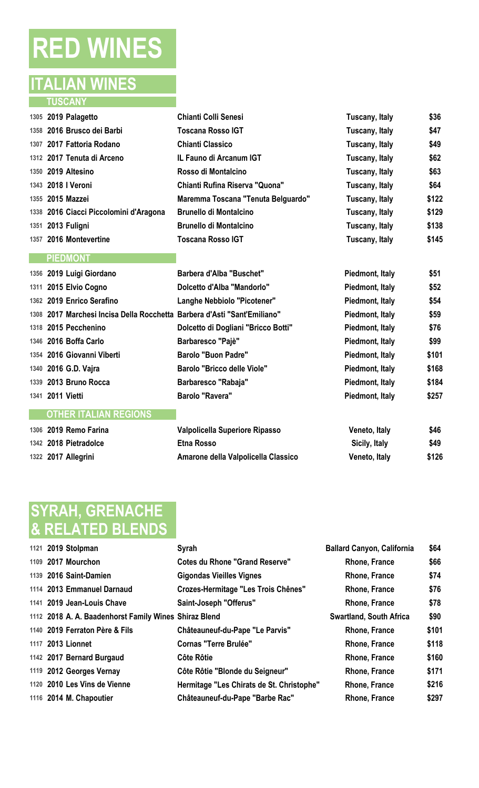# **RED WINES**

### **ITALIAN WINES TUSCANY**

| 1305 2019 Palagetto                                                      | <b>Chianti Colli Senesi</b>         | Tuscany, Italy  | \$36  |
|--------------------------------------------------------------------------|-------------------------------------|-----------------|-------|
| 1358 2016 Brusco dei Barbi                                               | <b>Toscana Rosso IGT</b>            | Tuscany, Italy  | \$47  |
| 1307 2017 Fattoria Rodano                                                | <b>Chianti Classico</b>             | Tuscany, Italy  | \$49  |
| 1312 2017 Tenuta di Arceno                                               | <b>IL Fauno di Arcanum IGT</b>      | Tuscany, Italy  | \$62  |
| 1350 2019 Altesino                                                       | Rosso di Montalcino                 | Tuscany, Italy  | \$63  |
| 1343 2018   Veroni                                                       | Chianti Rufina Riserva "Quona"      | Tuscany, Italy  | \$64  |
| 1355 2015 Mazzei                                                         | Maremma Toscana "Tenuta Belguardo"  | Tuscany, Italy  | \$122 |
| 1338 2016 Ciacci Piccolomini d'Aragona                                   | <b>Brunello di Montalcino</b>       | Tuscany, Italy  | \$129 |
| 1351 2013 Fuligni                                                        | <b>Brunello di Montalcino</b>       | Tuscany, Italy  | \$138 |
| 1357 2016 Montevertine                                                   | <b>Toscana Rosso IGT</b>            | Tuscany, Italy  | \$145 |
| <b>PIEDMONT</b>                                                          |                                     |                 |       |
| 1356 2019 Luigi Giordano                                                 | <b>Barbera d'Alba "Buschet"</b>     | Piedmont, Italy | \$51  |
| 1311 2015 Elvio Cogno                                                    | Dolcetto d'Alba "Mandorlo"          | Piedmont, Italy | \$52  |
| 1362 2019 Enrico Serafino                                                | Langhe Nebbiolo "Picotener"         | Piedmont, Italy | \$54  |
| 1308 2017 Marchesi Incisa Della Rocchetta Barbera d'Asti "Sant'Emiliano" |                                     | Piedmont, Italy | \$59  |
| 1318 2015 Pecchenino                                                     | Dolcetto di Dogliani "Bricco Botti" | Piedmont, Italy | \$76  |

 **2016 Boffa Carlo Barbaresco "Pajè" Piedmont, Italy \$99 2016 Giovanni Viberti Barolo "Buon Padre" Piedmont, Italy \$101 2016 G.D. Vajra Barolo "Bricco delle Viole" Piedmont, Italy \$168 2013 Bruno Rocca Barbaresco "Rabaja" Piedmont, Italy \$184 2011 Vietti Barolo "Ravera" Piedmont, Italy \$257**

 **2019 Remo Farina Valpolicella Superiore Ripasso Veneto, Italy \$46 2018 Pietradolce Etna Rosso Sicily, Italy \$49 2017 Allegrini Amarone della Valpolicella Classico Veneto, Italy \$126**

# **SYRAH, GRENACHE & RELATED BLENDS**

**OTHER ITALIAN REGIONS**

| 1121 2019 Stolpman                                    | Syrah                                      | <b>Ballard Canyon, California</b> | \$64  |
|-------------------------------------------------------|--------------------------------------------|-----------------------------------|-------|
| 1109 2017 Mourchon                                    | <b>Cotes du Rhone "Grand Reserve"</b>      | <b>Rhone, France</b>              | \$66  |
| 1139 2016 Saint-Damien                                | <b>Gigondas Vieilles Vignes</b>            | <b>Rhone, France</b>              | \$74  |
| 1114 2013 Emmanuel Darnaud                            | <b>Crozes-Hermitage "Les Trois Chênes"</b> | <b>Rhone, France</b>              | \$76  |
| 1141 2019 Jean-Louis Chave                            | Saint-Joseph "Offerus"                     | Rhone, France                     | \$78  |
| 1112 2018 A. A. Baadenhorst Family Wines Shiraz Blend |                                            | <b>Swartland, South Africa</b>    | \$90  |
| 1140 2019 Ferraton Père & Fils                        | Châteauneuf-du-Pape "Le Parvis"            | <b>Rhone, France</b>              | \$101 |
| 1117 2013 Lionnet                                     | <b>Cornas "Terre Brulée"</b>               | <b>Rhone, France</b>              | \$118 |
| 1142 2017 Bernard Burgaud                             | Côte Rôtie                                 | <b>Rhone, France</b>              | \$160 |
| 1119 2012 Georges Vernay                              | Côte Rôtie "Blonde du Seigneur"            | <b>Rhone, France</b>              | \$171 |
| 1120 2010 Les Vins de Vienne                          | Hermitage "Les Chirats de St. Christophe"  | Rhone, France                     | \$216 |
| 1116 2014 M. Chapoutier                               | Châteauneuf-du-Pape "Barbe Rac"            | <b>Rhone, France</b>              | \$297 |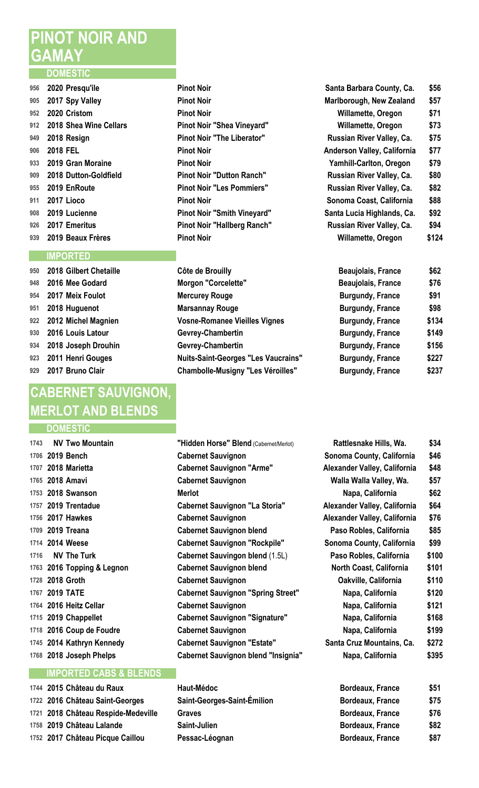# **PINOT NOIR AND GAMAY**

#### **DOMESTIC**

|     | 956 2020 Presqu'ile        | <b>Pinot Noir</b>                 | Santa Barbara County, Ca.   | \$56 |
|-----|----------------------------|-----------------------------------|-----------------------------|------|
| 905 | 2017 Spy Valley            | <b>Pinot Noir</b>                 | Marlborough, New Zealand    | \$57 |
| 952 | 2020 Cristom               | <b>Pinot Noir</b>                 | <b>Willamette, Oregon</b>   | \$71 |
|     | 912 2018 Shea Wine Cellars | Pinot Noir "Shea Vineyard"        | Willamette, Oregon          | \$73 |
| 949 | 2018 Resign                | <b>Pinot Noir "The Liberator"</b> | Russian River Valley, Ca.   | \$75 |
| 906 | <b>2018 FEL</b>            | <b>Pinot Noir</b>                 | Anderson Valley, California | \$77 |
| 933 | 2019 Gran Moraine          | <b>Pinot Noir</b>                 | Yamhill-Carlton, Oregon     | \$79 |
| 909 | 2018 Dutton-Goldfield      | <b>Pinot Noir "Dutton Ranch"</b>  | Russian River Valley, Ca.   | \$80 |
|     | 955 2019 EnRoute           | <b>Pinot Noir "Les Pommiers"</b>  | Russian River Valley, Ca.   | \$82 |
| 911 | 2017 Lioco                 | <b>Pinot Noir</b>                 | Sonoma Coast, California    | \$88 |
| 908 | 2019 Lucienne              | Pinot Noir "Smith Vineyard"       | Santa Lucia Highlands, Ca.  | \$92 |
| 926 | 2017 Emeritus              | Pinot Noir "Hallberg Ranch"       | Russian River Valley, Ca.   | \$94 |
|     | 939 2019 Beaux Frères      | <b>Pinot Noir</b>                 | <b>Willamette, Oregon</b>   | \$12 |
|     |                            |                                   |                             |      |

### **IMPORTED**

| 950 | 2018 Gilbert Chetaille |
|-----|------------------------|
| 948 | 2016 Mee Godard        |
| 954 | 2017 Meix Foulot       |
| 951 | 2018 Huguenot          |
| 922 | 2012 Michel Magnien    |
| 930 | 2016 Louis Latour      |
| 934 | 2018 Joseph Drouhin    |
| 923 | 2011 Henri Gouges      |
| 929 | 2017 Bruno Clair       |

# **CABERNET SAUVIGNON, MERLOT AND BLENDS**

### **DOMESTIC**

|      | 1743 NV Two Mountain       |
|------|----------------------------|
|      | 1706 2019 Bench            |
|      | 1707 2018 Marietta         |
|      | 1765 2018 Amavi            |
|      | 1753 2018 Swanson          |
|      | 1757 2019 Trentadue        |
|      | 1756 2017 Hawkes           |
|      | 1709 2019 Treana           |
|      | 1714 2014 Weese            |
| 1716 | <b>NV The Turk</b>         |
|      | 1763 2016 Topping & Legnon |
|      | 1728 2018 Groth            |
|      | 1767 2019 TATE             |
|      | 1764 2016 Heitz Cellar     |
|      | 1715 2019 Chappellet       |
|      | 1718 2016 Coup de Foudre   |
|      | 1745 2014 Kathryn Kennedy  |
|      |                            |

### **IMPORTED CABS & BLENDS**

| 1744 2015 Château du Raux           | <b>Haut-Medoc</b>           | Bordeaux, France        | \$51 |
|-------------------------------------|-----------------------------|-------------------------|------|
| 1722 2016 Château Saint-Georges     | Saint-Georges-Saint-Émilion | <b>Bordeaux, France</b> | \$75 |
| 1721 2018 Château Respide-Medeville | Graves                      | <b>Bordeaux, France</b> | \$76 |
| 1758 2019 Château Lalande           | Saint-Julien                | <b>Bordeaux, France</b> | \$82 |
| 1752 2017 Château Picque Caillou    | Pessac-Léognan              | <b>Bordeaux, France</b> | \$87 |

| FIIIOL NOIL                        |
|------------------------------------|
| <b>Pinot Noir</b>                  |
| Pinot Noir                         |
| Pinot Noir "Shea Vineyard"         |
| <b>Pinot Noir "The Liberator"</b>  |
| Pinot Noir                         |
| Pinot Noir                         |
| <b>Pinot Noir "Dutton Ranch"</b>   |
| <b>Pinot Noir "Les Pommiers"</b>   |
| Pinot Noir                         |
| <b>Pinot Noir "Smith Vineyard"</b> |
| <b>Pinot Noir "Hallberg Ranch"</b> |
| Dinnt Nnir                         |

| 950 2018 Gilbert Chetaille | Côte de Brouilly                           | <b>Beaujolais, France</b> | \$62  |
|----------------------------|--------------------------------------------|---------------------------|-------|
| 948 2016 Mee Godard        | <b>Morgon "Corcelette"</b>                 | <b>Beaujolais, France</b> | \$76  |
| 954 2017 Meix Foulot       | <b>Mercurey Rouge</b>                      | <b>Burgundy, France</b>   | \$91  |
| 951 2018 Huguenot          | <b>Marsannay Rouge</b>                     | <b>Burgundy, France</b>   | \$98  |
| 922 2012 Michel Magnien    | <b>Vosne-Romanee Vieilles Vignes</b>       | <b>Burgundy, France</b>   | \$134 |
| 930 2016 Louis Latour      | Gevrey-Chambertin                          | <b>Burgundy, France</b>   | \$149 |
| 934 2018 Joseph Drouhin    | Gevrey-Chambertin                          | <b>Burgundy, France</b>   | \$156 |
| 923 2011 Henri Gouges      | <b>Nuits-Saint-Georges "Les Vaucrains"</b> | <b>Burgundy, France</b>   | \$227 |
| 929 2017 Bruno Clair       | <b>Chambolle-Musigny "Les Véroilles"</b>   | <b>Burgundy, France</b>   | \$237 |
|                            |                                            |                           |       |

| <b>NV Two Mountain</b>     | "Hidden Horse" Blend (Cabernet/Merlot)     | Rattlesnake Hills, Wa.         | \$34  |
|----------------------------|--------------------------------------------|--------------------------------|-------|
| 1706 2019 Bench            | <b>Cabernet Sauvignon</b>                  | Sonoma County, California      | \$46  |
| 1707 2018 Marietta         | <b>Cabernet Sauvignon "Arme"</b>           | Alexander Valley, California   | \$48  |
| 1765 2018 Amavi            | <b>Cabernet Sauvignon</b>                  | Walla Walla Valley, Wa.        | \$57  |
| 1753 2018 Swanson          | <b>Merlot</b>                              | Napa, California               | \$62  |
| 1757 2019 Trentadue        | <b>Cabernet Sauvignon "La Storia"</b>      | Alexander Valley, California   | \$64  |
| 1756 2017 Hawkes           | <b>Cabernet Sauvignon</b>                  | Alexander Valley, California   | \$76  |
| 1709 2019 Treana           | <b>Cabernet Sauvignon blend</b>            | Paso Robles, California        | \$85  |
| 1714 2014 Weese            | <b>Cabernet Sauvignon "Rockpile"</b>       | Sonoma County, California      | \$99  |
| <b>NV The Turk</b>         | <b>Cabernet Sauvingon blend (1.5L)</b>     | Paso Robles, California        | \$100 |
| 1763 2016 Topping & Legnon | <b>Cabernet Sauvignon blend</b>            | <b>North Coast, California</b> | \$101 |
| 1728 2018 Groth            | <b>Cabernet Sauvignon</b>                  | Oakville, California           | \$110 |
| 1767 2019 TATE             | <b>Cabernet Sauvignon "Spring Street"</b>  | Napa, California               | \$120 |
| 1764 2016 Heitz Cellar     | <b>Cabernet Sauvignon</b>                  | Napa, California               | \$121 |
| 1715 2019 Chappellet       | <b>Cabernet Sauvignon "Signature"</b>      | Napa, California               | \$168 |
| 1718 2016 Coup de Foudre   | <b>Cabernet Sauvignon</b>                  | Napa, California               | \$199 |
| 1745 2014 Kathryn Kennedy  | <b>Cabernet Sauvignon "Estate"</b>         | Santa Cruz Mountains, Ca.      | \$272 |
| 1768 2018 Joseph Phelps    | <b>Cabernet Sauvignon blend "Insignia"</b> | Napa, California               | \$395 |
|                            |                                            |                                |       |

| 1744 2015 Château du Raux           | Haut-Médoc                  | <b>Bordeaux, France</b> | \$51 |
|-------------------------------------|-----------------------------|-------------------------|------|
| 1722 2016 Château Saint-Georges     | Saint-Georges-Saint-Émilion | <b>Bordeaux, France</b> | \$75 |
| 1721 2018 Château Respide-Medeville | Graves                      | <b>Bordeaux, France</b> | \$76 |
| 1758 2019 Château Lalande           | Saint-Julien                | <b>Bordeaux, France</b> | \$82 |
| 1752 2017 Château Picque Caillou    | Pessac-Léognan              | <b>Bordeaux, France</b> | \$87 |

|     | 956    2020 Presqu'ile     | <b>Pinot Noir</b>                  | Santa Barbara County, Ca.      | \$56  |
|-----|----------------------------|------------------------------------|--------------------------------|-------|
|     | 905 2017 Spy Valley        | <b>Pinot Noir</b>                  | Marlborough, New Zealand       | \$57  |
|     | 952 2020 Cristom           | <b>Pinot Noir</b>                  | Willamette, Oregon             | \$71  |
|     | 912 2018 Shea Wine Cellars | Pinot Noir "Shea Vineyard"         | Willamette, Oregon             | \$73  |
|     | 949 2018 Resign            | <b>Pinot Noir "The Liberator"</b>  | Russian River Valley, Ca.      | \$75  |
|     | 906 2018 FEL               | <b>Pinot Noir</b>                  | Anderson Valley, California    | \$77  |
|     | 933 2019 Gran Moraine      | <b>Pinot Noir</b>                  | <b>Yamhill-Carlton, Oregon</b> | \$79  |
|     | 909 2018 Dutton-Goldfield  | <b>Pinot Noir "Dutton Ranch"</b>   | Russian River Valley, Ca.      | \$80  |
|     | 955 2019 EnRoute           | <b>Pinot Noir "Les Pommiers"</b>   | Russian River Valley, Ca.      | \$82  |
| 911 | 2017 Lioco                 | <b>Pinot Noir</b>                  | Sonoma Coast, California       | \$88  |
|     | 908 2019 Lucienne          | <b>Pinot Noir "Smith Vineyard"</b> | Santa Lucia Highlands, Ca.     | \$92  |
|     | 926 2017 Emeritus          | Pinot Noir "Hallberg Ranch"        | Russian River Valley, Ca.      | \$94  |
|     | 939 2019 Beaux Frères      | <b>Pinot Noir</b>                  | Willamette, Oregon             | \$124 |
|     |                            |                                    |                                |       |

| <b>Beaujolais, France</b> | \$62  |
|---------------------------|-------|
| Beaujolais, France        | \$76  |
| <b>Burgundy, France</b>   | \$91  |
| <b>Burgundy, France</b>   | \$98  |
| <b>Burgundy, France</b>   | \$134 |
| <b>Burgundy, France</b>   | \$149 |
| <b>Burgundy, France</b>   | \$156 |
| <b>Burgundy, France</b>   | \$227 |
| <b>Burgundy, France</b>   | \$237 |

| Rattlesnake Hills, Wa.       | \$34  |
|------------------------------|-------|
| Sonoma County, California    | \$46  |
| Alexander Valley, California | \$48  |
| Walla Walla Valley, Wa.      | \$57  |
| Napa, California             | \$62  |
| Alexander Valley, California | \$64  |
| Alexander Valley, California | \$76  |
| Paso Robles, California      | \$85  |
| Sonoma County, California    | \$99  |
| Paso Robles, California      | \$100 |
| North Coast, California      | \$10  |
| Oakville, California         | \$11  |
| Napa, California             | \$120 |
| Napa, California             | \$12′ |
| Napa, California             | \$168 |
| Napa, California             | \$199 |
| Santa Cruz Mountains, Ca.    | \$272 |
| Napa, California             | \$39  |
|                              |       |
|                              |       |

| Borgeaux, France | งวา  |
|------------------|------|
| Bordeaux, France | \$75 |
| Bordeaux, France | \$76 |
| Bordeaux, France | \$82 |
| Bordeaux, France | \$87 |